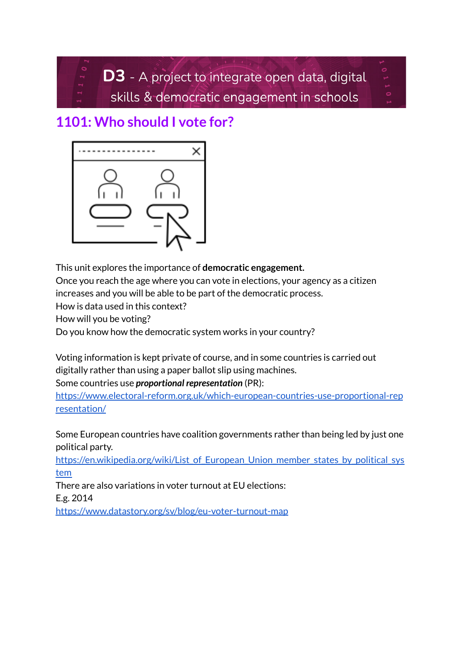D3 - A project to integrate open data, digital skills & democratic engagement in schools

# **1101: Who should I vote for?**



This unit explores the importance of **democratic engagement.**

Once you reach the age where you can vote in elections, your agency as a citizen

increases and you will be able to be part of the democratic process.

How is data used in this context?

How will you be voting?

Do you know how the democratic system works in your country?

Voting information is kept private of course, and in some countries is carried out digitally rather than using a paper ballot slip using machines.

Some countries use *proportional representation* (PR):

[https://www.electoral-reform.org.uk/which-european-countries-use-proportional-rep](https://www.electoral-reform.org.uk/which-european-countries-use-proportional-representation/) [resentation/](https://www.electoral-reform.org.uk/which-european-countries-use-proportional-representation/)

Some European countries have coalition governments rather than being led by just one political party.

https://en.wikipedia.org/wiki/List of European Union member states by political sys [tem](https://en.wikipedia.org/wiki/List_of_European_Union_member_states_by_political_system)

There are also variations in voter turnout at EU elections: E.g. 2014

<https://www.datastory.org/sv/blog/eu-voter-turnout-map>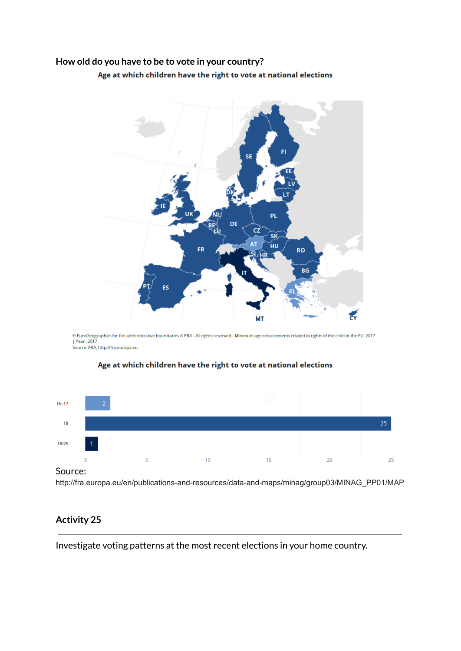## **How old do you have to be to vote in your country?**

Age at which children have the right to vote at national elections



© EuroGeographics for the administrative boundaries © FRA - All rights reserved - Minimum age requirements related to rights of the child in the EU, 2017<br>|Year : 2017 .<br>Source: FRA, http://fra.europa.eu



### Age at which children have the right to vote at national elections

#### Source:

http://fra.europa.eu/en/publications-and-resources/data-and-maps/minag/group03/MINAG\_PP01/MAP

# **Activity 25**

Investigate voting patterns at the most recent elections in your home country.